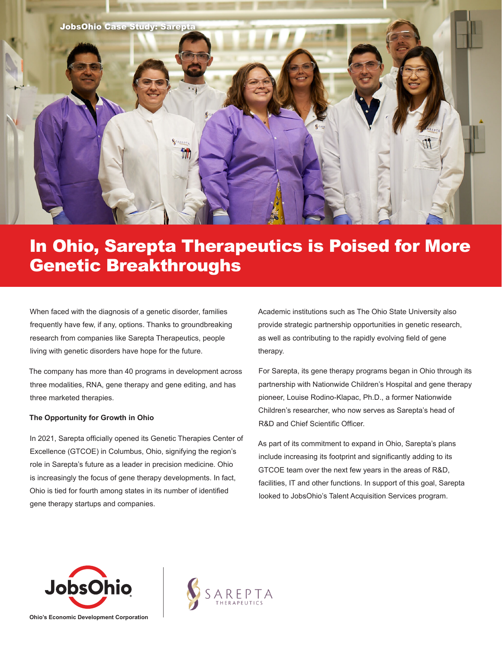

## In Ohio, Sarepta Therapeutics is Poised for More Genetic Breakthroughs

When faced with the diagnosis of a genetic disorder, families frequently have few, if any, options. Thanks to groundbreaking research from companies like Sarepta Therapeutics, people living with genetic disorders have hope for the future.

The company has more than 40 programs in development across three modalities, RNA, gene therapy and gene editing, and has three marketed therapies.

#### **The Opportunity for Growth in Ohio**

In 2021, Sarepta officially opened its Genetic Therapies Center of Excellence (GTCOE) in Columbus, Ohio, signifying the region's role in Sarepta's future as a leader in precision medicine. Ohio is increasingly the focus of gene therapy developments. In fact, Ohio is tied for fourth among states in its number of identified gene therapy startups and companies.

Academic institutions such as The Ohio State University also provide strategic partnership opportunities in genetic research, as well as contributing to the rapidly evolving field of gene therapy.

For Sarepta, its gene therapy programs began in Ohio through its partnership with Nationwide Children's Hospital and gene therapy pioneer, Louise Rodino-Klapac, Ph.D., a former Nationwide Children's researcher, who now serves as Sarepta's head of R&D and Chief Scientific Officer.

As part of its commitment to expand in Ohio, Sarepta's plans include increasing its footprint and significantly adding to its GTCOE team over the next few years in the areas of R&D, facilities, IT and other functions. In support of this goal, Sarepta looked to JobsOhio's Talent Acquisition Services program.